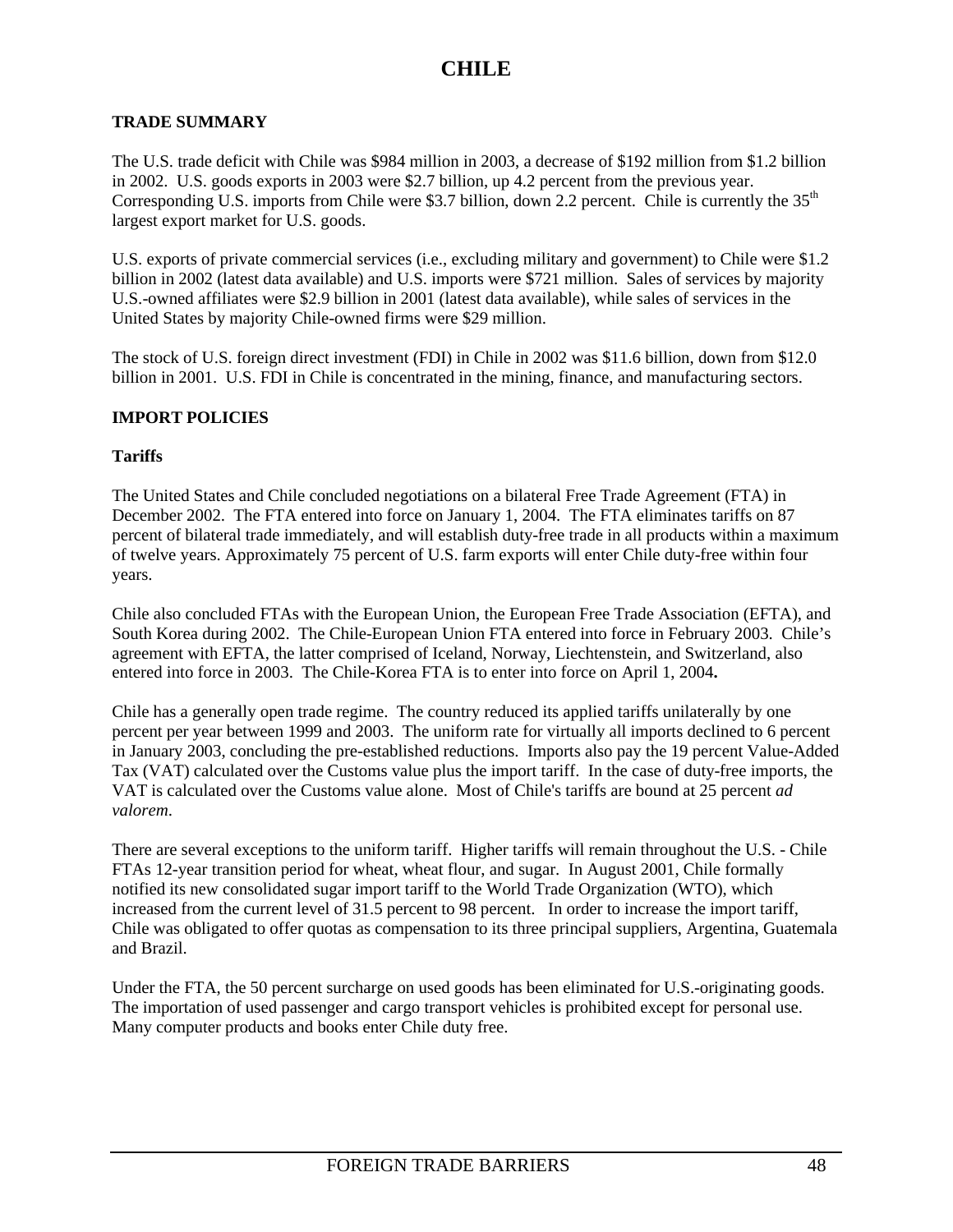### **TRADE SUMMARY**

The U.S. trade deficit with Chile was \$984 million in 2003, a decrease of \$192 million from \$1.2 billion in 2002. U.S. goods exports in 2003 were \$2.7 billion, up 4.2 percent from the previous year. Corresponding U.S. imports from Chile were \$3.7 billion, down 2.2 percent. Chile is currently the  $35<sup>th</sup>$ largest export market for U.S. goods.

U.S. exports of private commercial services (i.e., excluding military and government) to Chile were \$1.2 billion in 2002 (latest data available) and U.S. imports were \$721 million. Sales of services by majority U.S.-owned affiliates were \$2.9 billion in 2001 (latest data available), while sales of services in the United States by majority Chile-owned firms were \$29 million.

The stock of U.S. foreign direct investment (FDI) in Chile in 2002 was \$11.6 billion, down from \$12.0 billion in 2001. U.S. FDI in Chile is concentrated in the mining, finance, and manufacturing sectors.

### **IMPORT POLICIES**

#### **Tariffs**

The United States and Chile concluded negotiations on a bilateral Free Trade Agreement (FTA) in December 2002. The FTA entered into force on January 1, 2004. The FTA eliminates tariffs on 87 percent of bilateral trade immediately, and will establish duty-free trade in all products within a maximum of twelve years. Approximately 75 percent of U.S. farm exports will enter Chile duty-free within four years.

Chile also concluded FTAs with the European Union, the European Free Trade Association (EFTA), and South Korea during 2002. The Chile-European Union FTA entered into force in February 2003. Chile's agreement with EFTA, the latter comprised of Iceland, Norway, Liechtenstein, and Switzerland, also entered into force in 2003. The Chile-Korea FTA is to enter into force on April 1, 2004**.**

Chile has a generally open trade regime. The country reduced its applied tariffs unilaterally by one percent per year between 1999 and 2003. The uniform rate for virtually all imports declined to 6 percent in January 2003, concluding the pre-established reductions. Imports also pay the 19 percent Value-Added Tax (VAT) calculated over the Customs value plus the import tariff. In the case of duty-free imports, the VAT is calculated over the Customs value alone. Most of Chile's tariffs are bound at 25 percent *ad valorem*.

There are several exceptions to the uniform tariff. Higher tariffs will remain throughout the U.S. - Chile FTAs 12-year transition period for wheat, wheat flour, and sugar. In August 2001, Chile formally notified its new consolidated sugar import tariff to the World Trade Organization (WTO), which increased from the current level of 31.5 percent to 98 percent. In order to increase the import tariff, Chile was obligated to offer quotas as compensation to its three principal suppliers, Argentina, Guatemala and Brazil.

Under the FTA, the 50 percent surcharge on used goods has been eliminated for U.S.-originating goods. The importation of used passenger and cargo transport vehicles is prohibited except for personal use. Many computer products and books enter Chile duty free.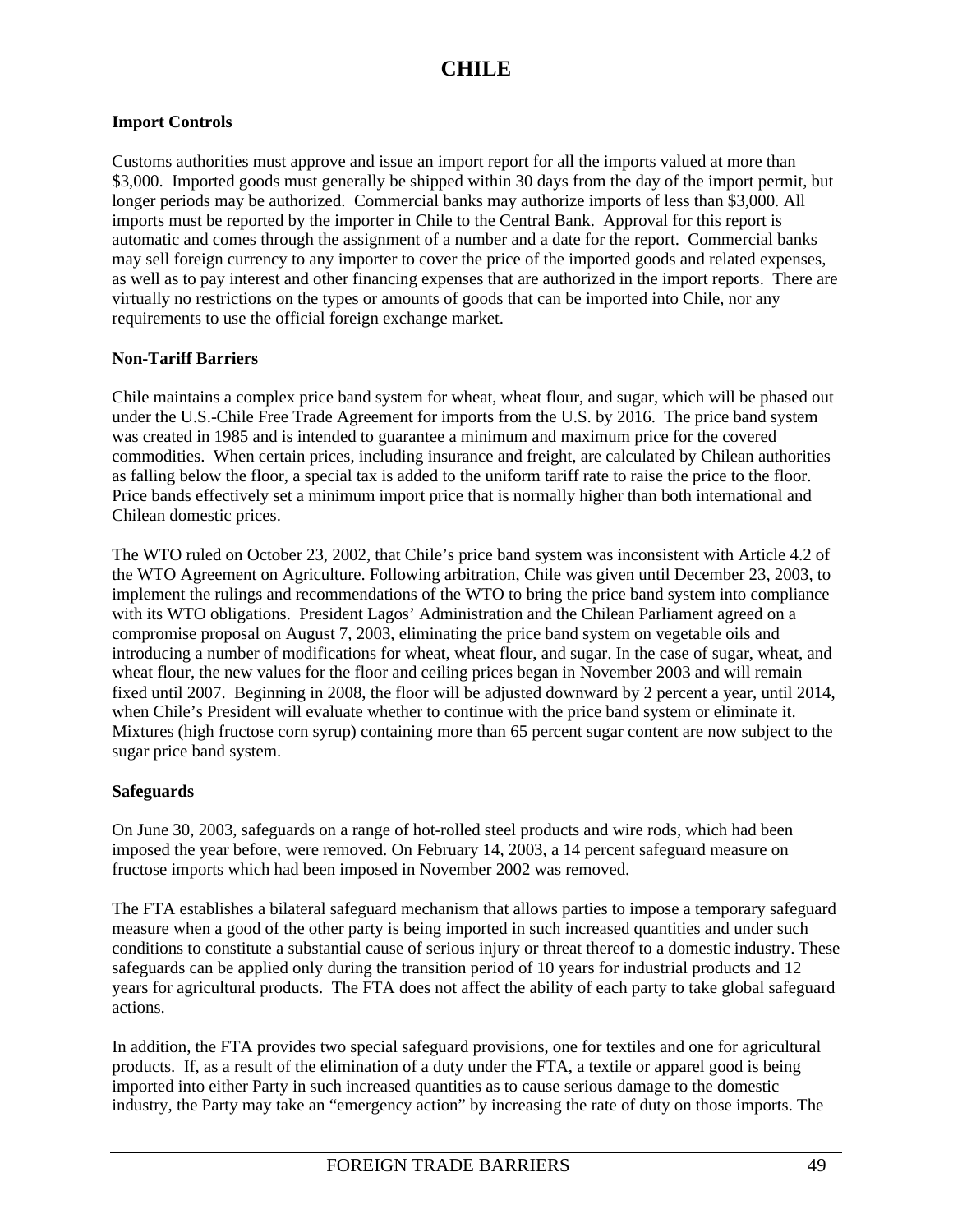### **Import Controls**

Customs authorities must approve and issue an import report for all the imports valued at more than \$3,000. Imported goods must generally be shipped within 30 days from the day of the import permit, but longer periods may be authorized. Commercial banks may authorize imports of less than \$3,000. All imports must be reported by the importer in Chile to the Central Bank. Approval for this report is automatic and comes through the assignment of a number and a date for the report. Commercial banks may sell foreign currency to any importer to cover the price of the imported goods and related expenses, as well as to pay interest and other financing expenses that are authorized in the import reports. There are virtually no restrictions on the types or amounts of goods that can be imported into Chile, nor any requirements to use the official foreign exchange market.

### **Non-Tariff Barriers**

Chile maintains a complex price band system for wheat, wheat flour, and sugar, which will be phased out under the U.S.-Chile Free Trade Agreement for imports from the U.S. by 2016. The price band system was created in 1985 and is intended to guarantee a minimum and maximum price for the covered commodities. When certain prices, including insurance and freight, are calculated by Chilean authorities as falling below the floor, a special tax is added to the uniform tariff rate to raise the price to the floor. Price bands effectively set a minimum import price that is normally higher than both international and Chilean domestic prices.

The WTO ruled on October 23, 2002, that Chile's price band system was inconsistent with Article 4.2 of the WTO Agreement on Agriculture. Following arbitration, Chile was given until December 23, 2003, to implement the rulings and recommendations of the WTO to bring the price band system into compliance with its WTO obligations. President Lagos' Administration and the Chilean Parliament agreed on a compromise proposal on August 7, 2003, eliminating the price band system on vegetable oils and introducing a number of modifications for wheat, wheat flour, and sugar. In the case of sugar, wheat, and wheat flour, the new values for the floor and ceiling prices began in November 2003 and will remain fixed until 2007. Beginning in 2008, the floor will be adjusted downward by 2 percent a year, until 2014, when Chile's President will evaluate whether to continue with the price band system or eliminate it. Mixtures (high fructose corn syrup) containing more than 65 percent sugar content are now subject to the sugar price band system.

## **Safeguards**

On June 30, 2003, safeguards on a range of hot-rolled steel products and wire rods, which had been imposed the year before, were removed. On February 14, 2003, a 14 percent safeguard measure on fructose imports which had been imposed in November 2002 was removed.

The FTA establishes a bilateral safeguard mechanism that allows parties to impose a temporary safeguard measure when a good of the other party is being imported in such increased quantities and under such conditions to constitute a substantial cause of serious injury or threat thereof to a domestic industry. These safeguards can be applied only during the transition period of 10 years for industrial products and 12 years for agricultural products. The FTA does not affect the ability of each party to take global safeguard actions.

In addition, the FTA provides two special safeguard provisions, one for textiles and one for agricultural products. If, as a result of the elimination of a duty under the FTA, a textile or apparel good is being imported into either Party in such increased quantities as to cause serious damage to the domestic industry, the Party may take an "emergency action" by increasing the rate of duty on those imports. The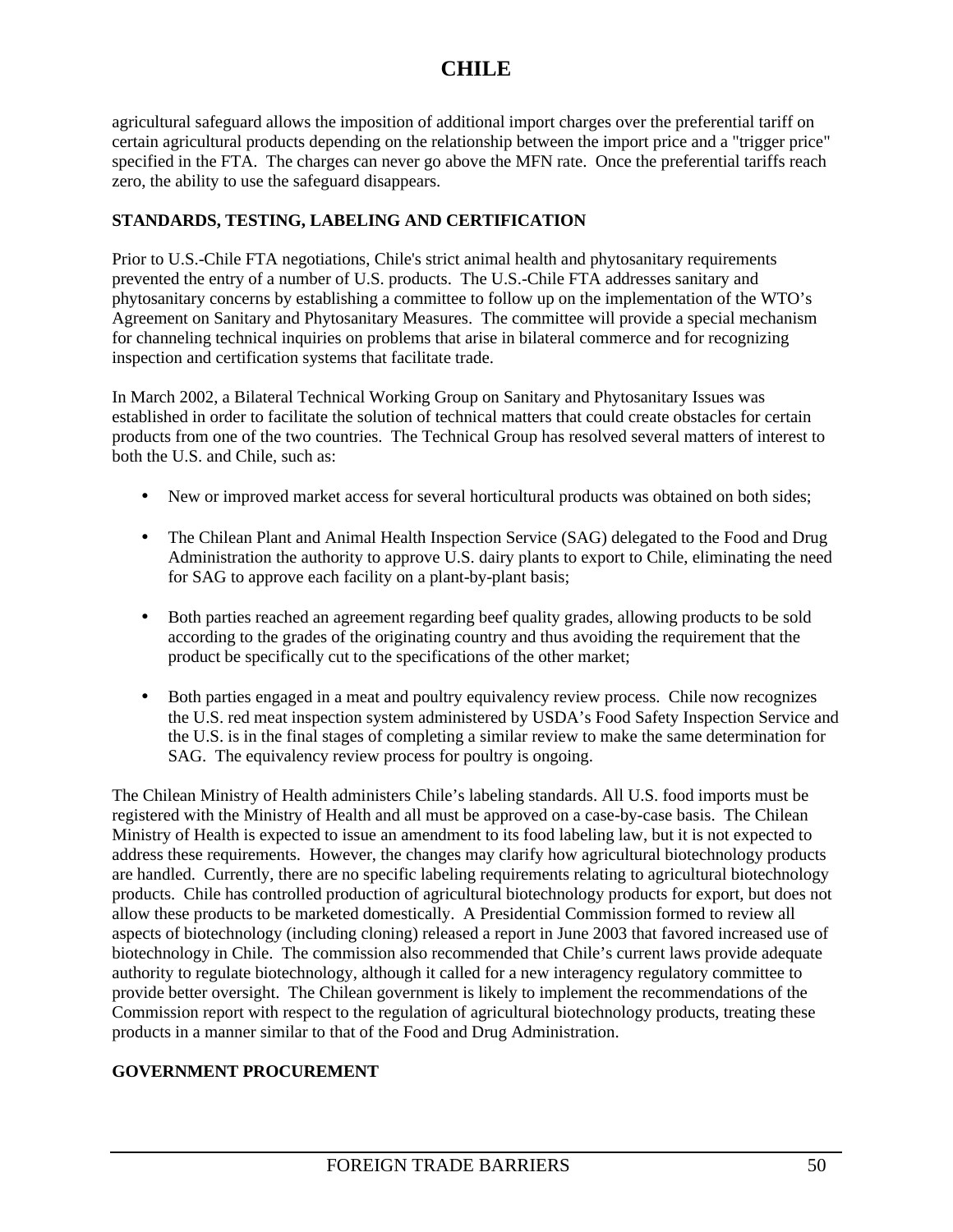agricultural safeguard allows the imposition of additional import charges over the preferential tariff on certain agricultural products depending on the relationship between the import price and a "trigger price" specified in the FTA. The charges can never go above the MFN rate. Once the preferential tariffs reach zero, the ability to use the safeguard disappears.

## **STANDARDS, TESTING, LABELING AND CERTIFICATION**

Prior to U.S.-Chile FTA negotiations, Chile's strict animal health and phytosanitary requirements prevented the entry of a number of U.S. products. The U.S.-Chile FTA addresses sanitary and phytosanitary concerns by establishing a committee to follow up on the implementation of the WTO's Agreement on Sanitary and Phytosanitary Measures. The committee will provide a special mechanism for channeling technical inquiries on problems that arise in bilateral commerce and for recognizing inspection and certification systems that facilitate trade.

In March 2002, a Bilateral Technical Working Group on Sanitary and Phytosanitary Issues was established in order to facilitate the solution of technical matters that could create obstacles for certain products from one of the two countries. The Technical Group has resolved several matters of interest to both the U.S. and Chile, such as:

- New or improved market access for several horticultural products was obtained on both sides;
- The Chilean Plant and Animal Health Inspection Service (SAG) delegated to the Food and Drug Administration the authority to approve U.S. dairy plants to export to Chile, eliminating the need for SAG to approve each facility on a plant-by-plant basis;
- Both parties reached an agreement regarding beef quality grades, allowing products to be sold according to the grades of the originating country and thus avoiding the requirement that the product be specifically cut to the specifications of the other market;
- Both parties engaged in a meat and poultry equivalency review process. Chile now recognizes the U.S. red meat inspection system administered by USDA's Food Safety Inspection Service and the U.S. is in the final stages of completing a similar review to make the same determination for SAG. The equivalency review process for poultry is ongoing.

The Chilean Ministry of Health administers Chile's labeling standards. All U.S. food imports must be registered with the Ministry of Health and all must be approved on a case-by-case basis. The Chilean Ministry of Health is expected to issue an amendment to its food labeling law, but it is not expected to address these requirements. However, the changes may clarify how agricultural biotechnology products are handled. Currently, there are no specific labeling requirements relating to agricultural biotechnology products. Chile has controlled production of agricultural biotechnology products for export, but does not allow these products to be marketed domestically. A Presidential Commission formed to review all aspects of biotechnology (including cloning) released a report in June 2003 that favored increased use of biotechnology in Chile. The commission also recommended that Chile's current laws provide adequate authority to regulate biotechnology, although it called for a new interagency regulatory committee to provide better oversight. The Chilean government is likely to implement the recommendations of the Commission report with respect to the regulation of agricultural biotechnology products, treating these products in a manner similar to that of the Food and Drug Administration.

## **GOVERNMENT PROCUREMENT**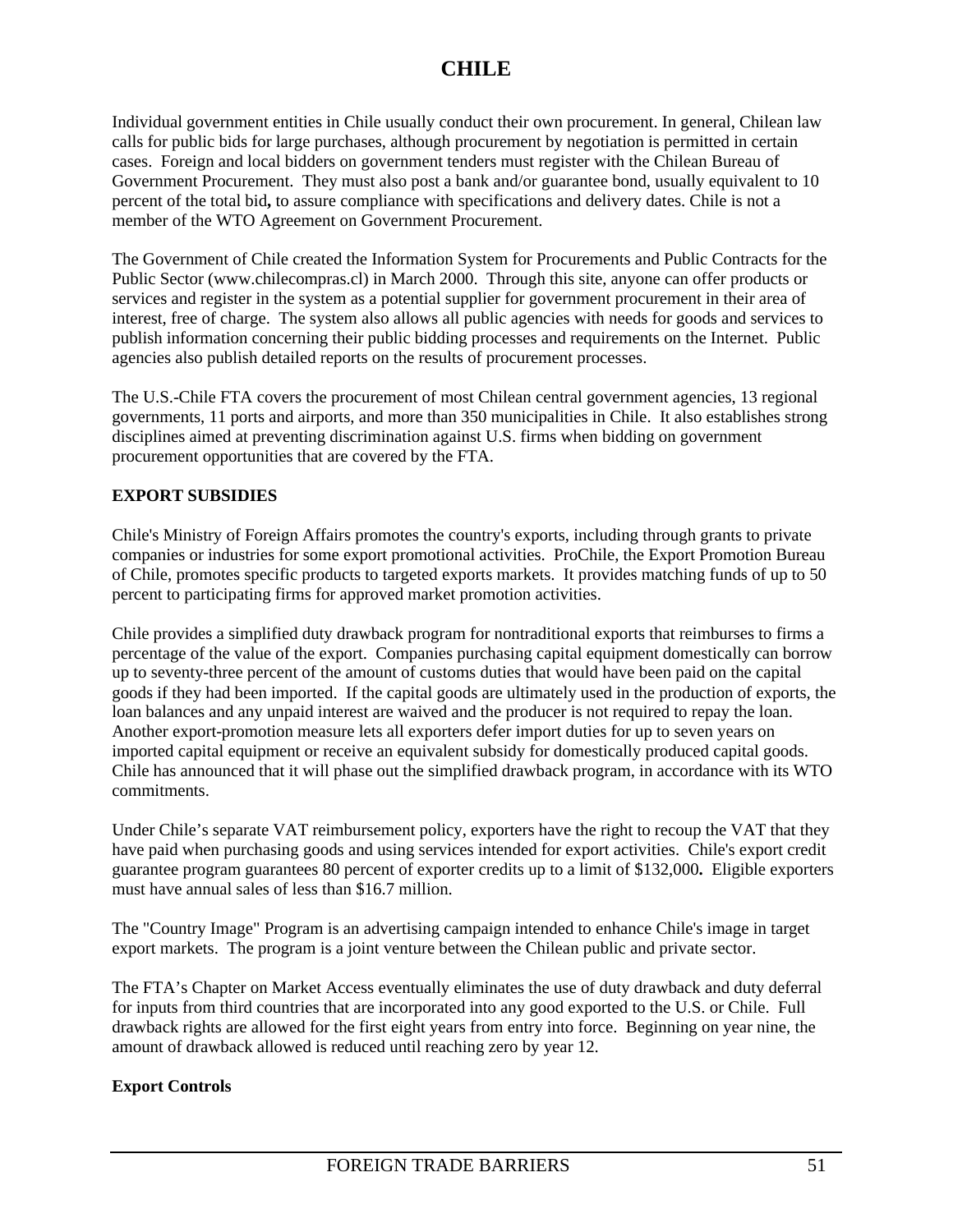Individual government entities in Chile usually conduct their own procurement. In general, Chilean law calls for public bids for large purchases, although procurement by negotiation is permitted in certain cases. Foreign and local bidders on government tenders must register with the Chilean Bureau of Government Procurement. They must also post a bank and/or guarantee bond, usually equivalent to 10 percent of the total bid**,** to assure compliance with specifications and delivery dates. Chile is not a member of the WTO Agreement on Government Procurement.

The Government of Chile created the Information System for Procurements and Public Contracts for the Public Sector (www.chilecompras.cl) in March 2000. Through this site, anyone can offer products or services and register in the system as a potential supplier for government procurement in their area of interest, free of charge. The system also allows all public agencies with needs for goods and services to publish information concerning their public bidding processes and requirements on the Internet. Public agencies also publish detailed reports on the results of procurement processes.

The U.S.-Chile FTA covers the procurement of most Chilean central government agencies, 13 regional governments, 11 ports and airports, and more than 350 municipalities in Chile. It also establishes strong disciplines aimed at preventing discrimination against U.S. firms when bidding on government procurement opportunities that are covered by the FTA.

## **EXPORT SUBSIDIES**

Chile's Ministry of Foreign Affairs promotes the country's exports, including through grants to private companies or industries for some export promotional activities. ProChile, the Export Promotion Bureau of Chile, promotes specific products to targeted exports markets. It provides matching funds of up to 50 percent to participating firms for approved market promotion activities.

Chile provides a simplified duty drawback program for nontraditional exports that reimburses to firms a percentage of the value of the export. Companies purchasing capital equipment domestically can borrow up to seventy-three percent of the amount of customs duties that would have been paid on the capital goods if they had been imported. If the capital goods are ultimately used in the production of exports, the loan balances and any unpaid interest are waived and the producer is not required to repay the loan. Another export-promotion measure lets all exporters defer import duties for up to seven years on imported capital equipment or receive an equivalent subsidy for domestically produced capital goods. Chile has announced that it will phase out the simplified drawback program, in accordance with its WTO commitments.

Under Chile's separate VAT reimbursement policy, exporters have the right to recoup the VAT that they have paid when purchasing goods and using services intended for export activities. Chile's export credit guarantee program guarantees 80 percent of exporter credits up to a limit of \$132,000**.** Eligible exporters must have annual sales of less than \$16.7 million.

The "Country Image" Program is an advertising campaign intended to enhance Chile's image in target export markets. The program is a joint venture between the Chilean public and private sector.

The FTA's Chapter on Market Access eventually eliminates the use of duty drawback and duty deferral for inputs from third countries that are incorporated into any good exported to the U.S. or Chile. Full drawback rights are allowed for the first eight years from entry into force. Beginning on year nine, the amount of drawback allowed is reduced until reaching zero by year 12.

## **Export Controls**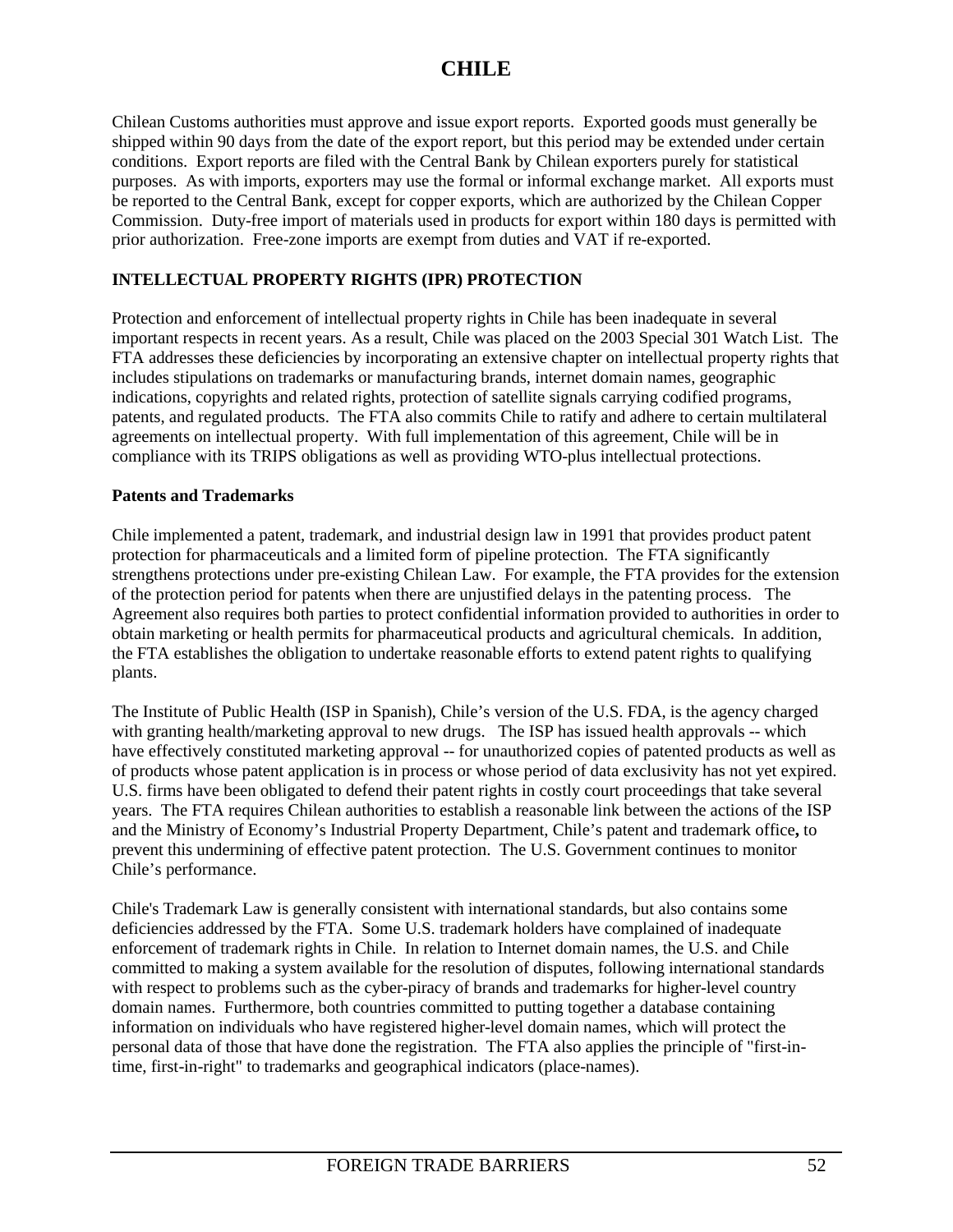Chilean Customs authorities must approve and issue export reports. Exported goods must generally be shipped within 90 days from the date of the export report, but this period may be extended under certain conditions. Export reports are filed with the Central Bank by Chilean exporters purely for statistical purposes. As with imports, exporters may use the formal or informal exchange market. All exports must be reported to the Central Bank, except for copper exports, which are authorized by the Chilean Copper Commission. Duty-free import of materials used in products for export within 180 days is permitted with prior authorization. Free-zone imports are exempt from duties and VAT if re-exported.

## **INTELLECTUAL PROPERTY RIGHTS (IPR) PROTECTION**

Protection and enforcement of intellectual property rights in Chile has been inadequate in several important respects in recent years. As a result, Chile was placed on the 2003 Special 301 Watch List. The FTA addresses these deficiencies by incorporating an extensive chapter on intellectual property rights that includes stipulations on trademarks or manufacturing brands, internet domain names, geographic indications, copyrights and related rights, protection of satellite signals carrying codified programs, patents, and regulated products. The FTA also commits Chile to ratify and adhere to certain multilateral agreements on intellectual property. With full implementation of this agreement, Chile will be in compliance with its TRIPS obligations as well as providing WTO-plus intellectual protections.

### **Patents and Trademarks**

Chile implemented a patent, trademark, and industrial design law in 1991 that provides product patent protection for pharmaceuticals and a limited form of pipeline protection. The FTA significantly strengthens protections under pre-existing Chilean Law. For example, the FTA provides for the extension of the protection period for patents when there are unjustified delays in the patenting process. The Agreement also requires both parties to protect confidential information provided to authorities in order to obtain marketing or health permits for pharmaceutical products and agricultural chemicals. In addition, the FTA establishes the obligation to undertake reasonable efforts to extend patent rights to qualifying plants.

The Institute of Public Health (ISP in Spanish), Chile's version of the U.S. FDA, is the agency charged with granting health/marketing approval to new drugs. The ISP has issued health approvals -- which have effectively constituted marketing approval -- for unauthorized copies of patented products as well as of products whose patent application is in process or whose period of data exclusivity has not yet expired. U.S. firms have been obligated to defend their patent rights in costly court proceedings that take several years. The FTA requires Chilean authorities to establish a reasonable link between the actions of the ISP and the Ministry of Economy's Industrial Property Department, Chile's patent and trademark office**,** to prevent this undermining of effective patent protection. The U.S. Government continues to monitor Chile's performance.

Chile's Trademark Law is generally consistent with international standards, but also contains some deficiencies addressed by the FTA. Some U.S. trademark holders have complained of inadequate enforcement of trademark rights in Chile. In relation to Internet domain names, the U.S. and Chile committed to making a system available for the resolution of disputes, following international standards with respect to problems such as the cyber-piracy of brands and trademarks for higher-level country domain names. Furthermore, both countries committed to putting together a database containing information on individuals who have registered higher-level domain names, which will protect the personal data of those that have done the registration. The FTA also applies the principle of "first-intime, first-in-right" to trademarks and geographical indicators (place-names).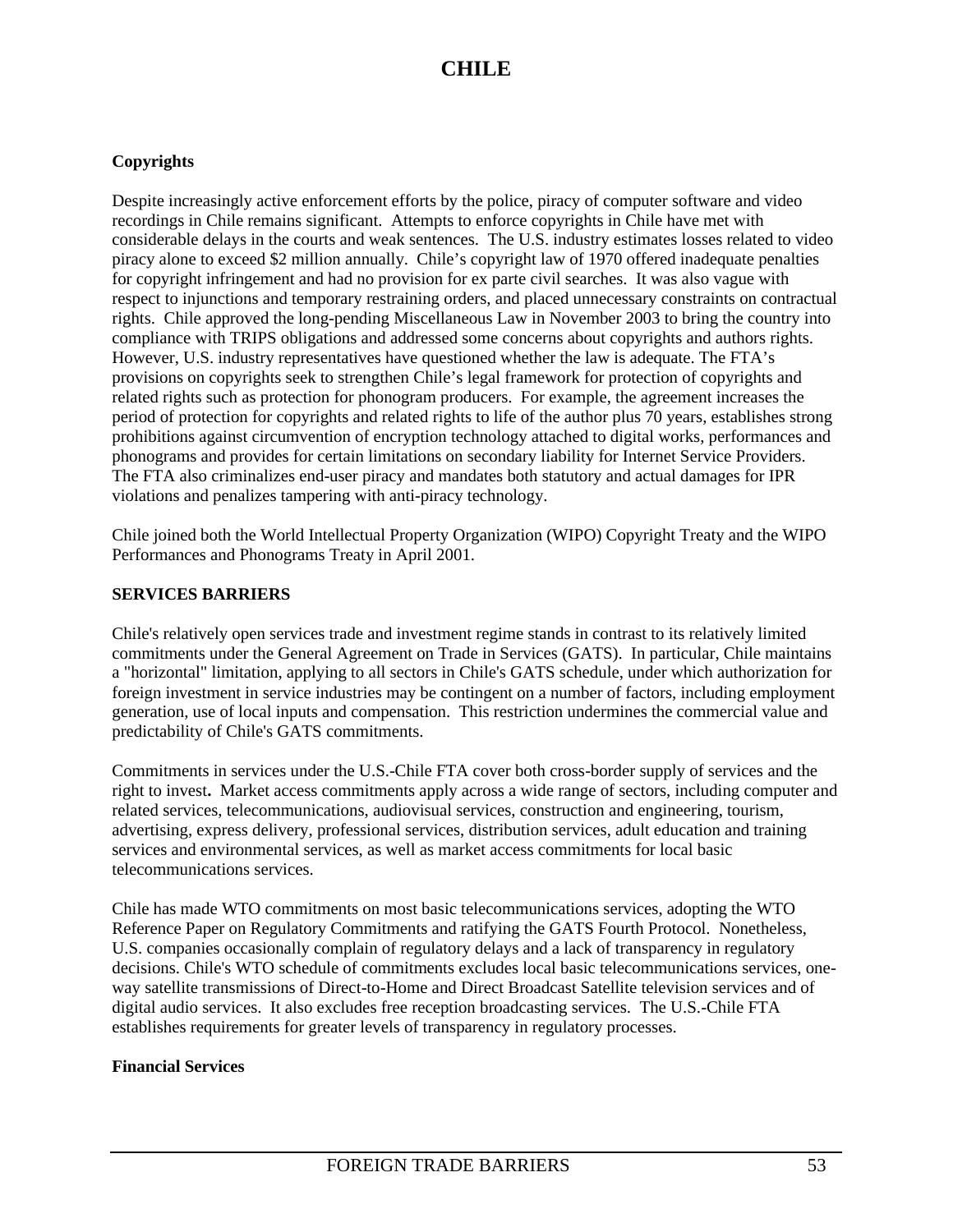## **Copyrights**

Despite increasingly active enforcement efforts by the police, piracy of computer software and video recordings in Chile remains significant. Attempts to enforce copyrights in Chile have met with considerable delays in the courts and weak sentences. The U.S. industry estimates losses related to video piracy alone to exceed \$2 million annually. Chile's copyright law of 1970 offered inadequate penalties for copyright infringement and had no provision for ex parte civil searches. It was also vague with respect to injunctions and temporary restraining orders, and placed unnecessary constraints on contractual rights. Chile approved the long-pending Miscellaneous Law in November 2003 to bring the country into compliance with TRIPS obligations and addressed some concerns about copyrights and authors rights. However, U.S. industry representatives have questioned whether the law is adequate. The FTA's provisions on copyrights seek to strengthen Chile's legal framework for protection of copyrights and related rights such as protection for phonogram producers. For example, the agreement increases the period of protection for copyrights and related rights to life of the author plus 70 years, establishes strong prohibitions against circumvention of encryption technology attached to digital works, performances and phonograms and provides for certain limitations on secondary liability for Internet Service Providers. The FTA also criminalizes end-user piracy and mandates both statutory and actual damages for IPR violations and penalizes tampering with anti-piracy technology.

Chile joined both the World Intellectual Property Organization (WIPO) Copyright Treaty and the WIPO Performances and Phonograms Treaty in April 2001.

### **SERVICES BARRIERS**

Chile's relatively open services trade and investment regime stands in contrast to its relatively limited commitments under the General Agreement on Trade in Services (GATS). In particular, Chile maintains a "horizontal" limitation, applying to all sectors in Chile's GATS schedule, under which authorization for foreign investment in service industries may be contingent on a number of factors, including employment generation, use of local inputs and compensation. This restriction undermines the commercial value and predictability of Chile's GATS commitments.

Commitments in services under the U.S.-Chile FTA cover both cross-border supply of services and the right to invest**.** Market access commitments apply across a wide range of sectors, including computer and related services, telecommunications, audiovisual services, construction and engineering, tourism, advertising, express delivery, professional services, distribution services, adult education and training services and environmental services, as well as market access commitments for local basic telecommunications services.

Chile has made WTO commitments on most basic telecommunications services, adopting the WTO Reference Paper on Regulatory Commitments and ratifying the GATS Fourth Protocol. Nonetheless, U.S. companies occasionally complain of regulatory delays and a lack of transparency in regulatory decisions. Chile's WTO schedule of commitments excludes local basic telecommunications services, oneway satellite transmissions of Direct-to-Home and Direct Broadcast Satellite television services and of digital audio services. It also excludes free reception broadcasting services. The U.S.-Chile FTA establishes requirements for greater levels of transparency in regulatory processes.

## **Financial Services**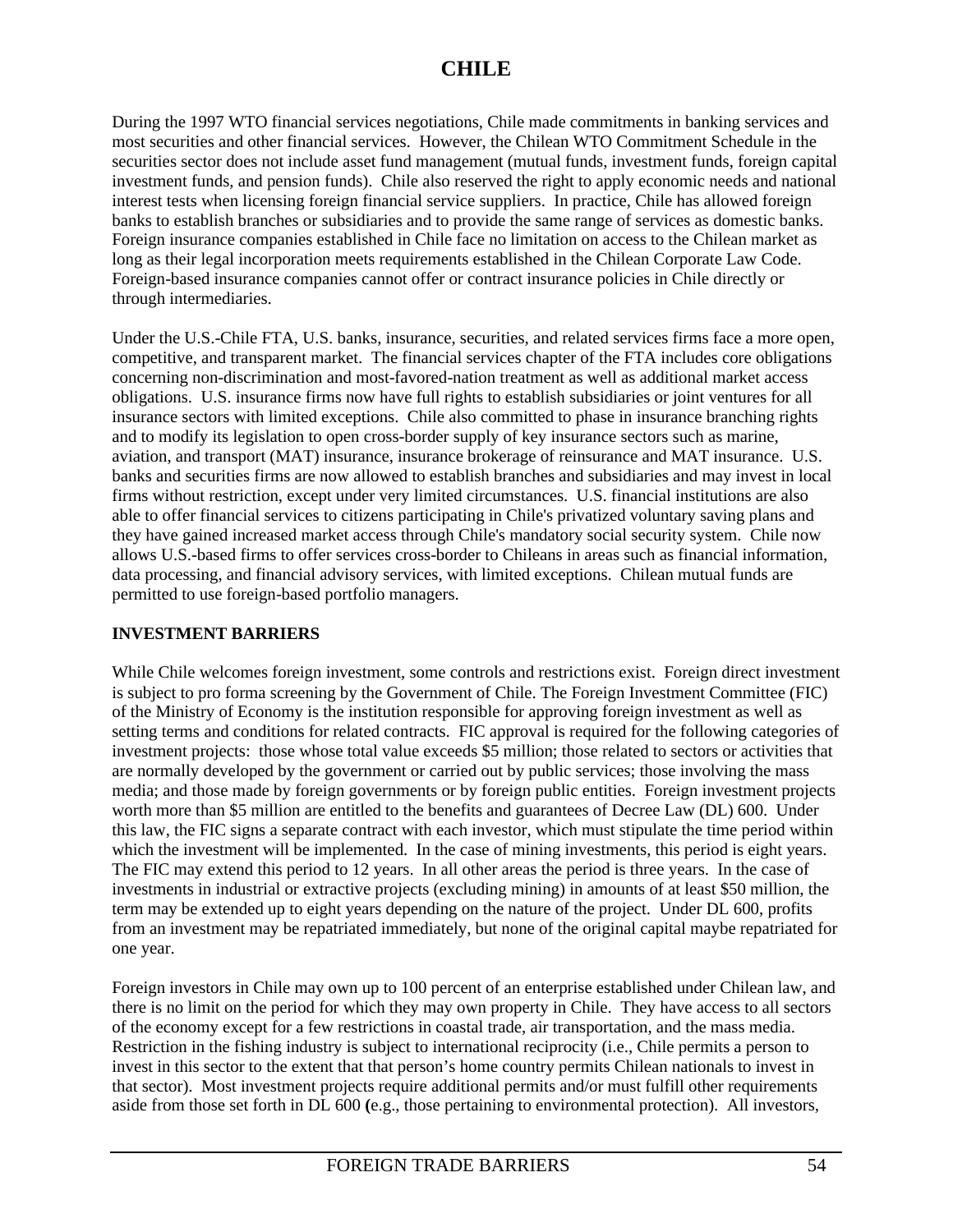During the 1997 WTO financial services negotiations, Chile made commitments in banking services and most securities and other financial services. However, the Chilean WTO Commitment Schedule in the securities sector does not include asset fund management (mutual funds, investment funds, foreign capital investment funds, and pension funds). Chile also reserved the right to apply economic needs and national interest tests when licensing foreign financial service suppliers. In practice, Chile has allowed foreign banks to establish branches or subsidiaries and to provide the same range of services as domestic banks. Foreign insurance companies established in Chile face no limitation on access to the Chilean market as long as their legal incorporation meets requirements established in the Chilean Corporate Law Code. Foreign-based insurance companies cannot offer or contract insurance policies in Chile directly or through intermediaries.

Under the U.S.-Chile FTA, U.S. banks, insurance, securities, and related services firms face a more open, competitive, and transparent market. The financial services chapter of the FTA includes core obligations concerning non-discrimination and most-favored-nation treatment as well as additional market access obligations. U.S. insurance firms now have full rights to establish subsidiaries or joint ventures for all insurance sectors with limited exceptions. Chile also committed to phase in insurance branching rights and to modify its legislation to open cross-border supply of key insurance sectors such as marine, aviation, and transport (MAT) insurance, insurance brokerage of reinsurance and MAT insurance. U.S. banks and securities firms are now allowed to establish branches and subsidiaries and may invest in local firms without restriction, except under very limited circumstances. U.S. financial institutions are also able to offer financial services to citizens participating in Chile's privatized voluntary saving plans and they have gained increased market access through Chile's mandatory social security system. Chile now allows U.S.-based firms to offer services cross-border to Chileans in areas such as financial information, data processing, and financial advisory services, with limited exceptions. Chilean mutual funds are permitted to use foreign-based portfolio managers.

## **INVESTMENT BARRIERS**

While Chile welcomes foreign investment, some controls and restrictions exist. Foreign direct investment is subject to pro forma screening by the Government of Chile. The Foreign Investment Committee (FIC) of the Ministry of Economy is the institution responsible for approving foreign investment as well as setting terms and conditions for related contracts. FIC approval is required for the following categories of investment projects: those whose total value exceeds \$5 million; those related to sectors or activities that are normally developed by the government or carried out by public services; those involving the mass media; and those made by foreign governments or by foreign public entities. Foreign investment projects worth more than \$5 million are entitled to the benefits and guarantees of Decree Law (DL) 600. Under this law, the FIC signs a separate contract with each investor, which must stipulate the time period within which the investment will be implemented. In the case of mining investments, this period is eight years. The FIC may extend this period to 12 years. In all other areas the period is three years. In the case of investments in industrial or extractive projects (excluding mining) in amounts of at least \$50 million, the term may be extended up to eight years depending on the nature of the project. Under DL 600, profits from an investment may be repatriated immediately, but none of the original capital maybe repatriated for one year.

Foreign investors in Chile may own up to 100 percent of an enterprise established under Chilean law, and there is no limit on the period for which they may own property in Chile. They have access to all sectors of the economy except for a few restrictions in coastal trade, air transportation, and the mass media. Restriction in the fishing industry is subject to international reciprocity (i.e., Chile permits a person to invest in this sector to the extent that that person's home country permits Chilean nationals to invest in that sector). Most investment projects require additional permits and/or must fulfill other requirements aside from those set forth in DL 600 **(**e.g., those pertaining to environmental protection). All investors,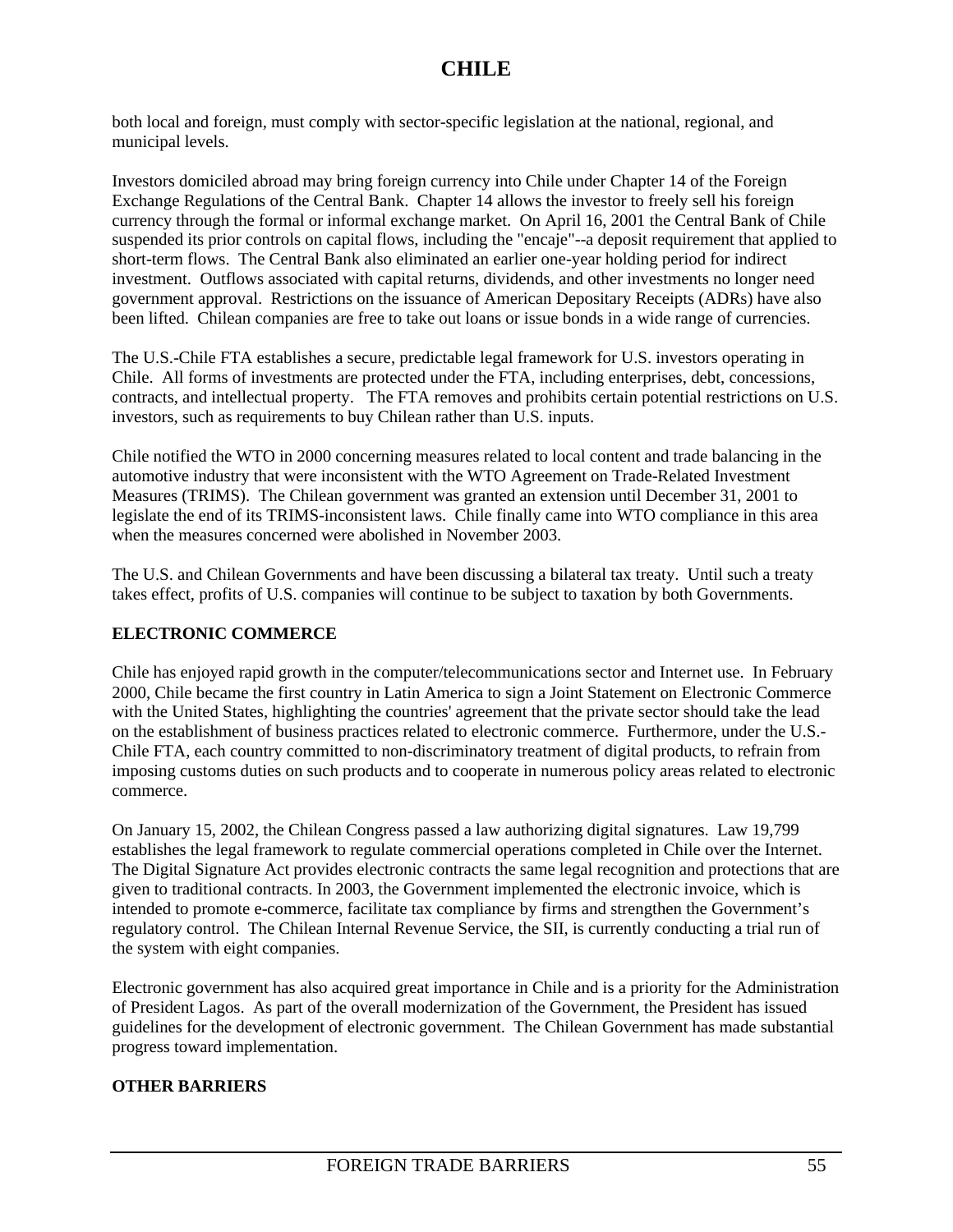both local and foreign, must comply with sector-specific legislation at the national, regional, and municipal levels.

Investors domiciled abroad may bring foreign currency into Chile under Chapter 14 of the Foreign Exchange Regulations of the Central Bank. Chapter 14 allows the investor to freely sell his foreign currency through the formal or informal exchange market. On April 16, 2001 the Central Bank of Chile suspended its prior controls on capital flows, including the "encaje"--a deposit requirement that applied to short-term flows. The Central Bank also eliminated an earlier one-year holding period for indirect investment. Outflows associated with capital returns, dividends, and other investments no longer need government approval. Restrictions on the issuance of American Depositary Receipts (ADRs) have also been lifted. Chilean companies are free to take out loans or issue bonds in a wide range of currencies.

The U.S.-Chile FTA establishes a secure, predictable legal framework for U.S. investors operating in Chile. All forms of investments are protected under the FTA, including enterprises, debt, concessions, contracts, and intellectual property. The FTA removes and prohibits certain potential restrictions on U.S. investors, such as requirements to buy Chilean rather than U.S. inputs.

Chile notified the WTO in 2000 concerning measures related to local content and trade balancing in the automotive industry that were inconsistent with the WTO Agreement on Trade-Related Investment Measures (TRIMS). The Chilean government was granted an extension until December 31, 2001 to legislate the end of its TRIMS-inconsistent laws. Chile finally came into WTO compliance in this area when the measures concerned were abolished in November 2003.

The U.S. and Chilean Governments and have been discussing a bilateral tax treaty. Until such a treaty takes effect, profits of U.S. companies will continue to be subject to taxation by both Governments.

## **ELECTRONIC COMMERCE**

Chile has enjoyed rapid growth in the computer/telecommunications sector and Internet use. In February 2000, Chile became the first country in Latin America to sign a Joint Statement on Electronic Commerce with the United States, highlighting the countries' agreement that the private sector should take the lead on the establishment of business practices related to electronic commerce. Furthermore, under the U.S.- Chile FTA, each country committed to non-discriminatory treatment of digital products, to refrain from imposing customs duties on such products and to cooperate in numerous policy areas related to electronic commerce.

On January 15, 2002, the Chilean Congress passed a law authorizing digital signatures. Law 19,799 establishes the legal framework to regulate commercial operations completed in Chile over the Internet. The Digital Signature Act provides electronic contracts the same legal recognition and protections that are given to traditional contracts. In 2003, the Government implemented the electronic invoice, which is intended to promote e-commerce, facilitate tax compliance by firms and strengthen the Government's regulatory control. The Chilean Internal Revenue Service, the SII, is currently conducting a trial run of the system with eight companies.

Electronic government has also acquired great importance in Chile and is a priority for the Administration of President Lagos. As part of the overall modernization of the Government, the President has issued guidelines for the development of electronic government. The Chilean Government has made substantial progress toward implementation.

## **OTHER BARRIERS**